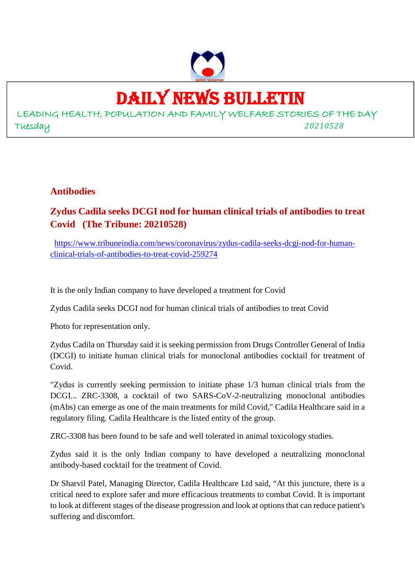

# DAILY NEWS BULLETIN

LEADING HEALTH, POPULATION AND FAMILY WELFARE STORIES OF THE DAY Tuesday *20210528*

#### **Antibodies**

#### **Zydus Cadila seeks DCGI nod for human clinical trials of antibodies to treat Covid (The Tribune: 20210528)**

https://www.tribuneindia.com/news/coronavirus/zydus-cadila-seeks-dcgi-nod-for-humanclinical-trials-of-antibodies-to-treat-covid-259274

It is the only Indian company to have developed a treatment for Covid

Zydus Cadila seeks DCGI nod for human clinical trials of antibodies to treat Covid

Photo for representation only.

Zydus Cadila on Thursday said it is seeking permission from Drugs Controller General of India (DCGI) to initiate human clinical trials for monoclonal antibodies cocktail for treatment of Covid.

"Zydus is currently seeking permission to initiate phase 1/3 human clinical trials from the DCGI... ZRC-3308, a cocktail of two SARS-CoV-2-neutralizing monoclonal antibodies (mAbs) can emerge as one of the main treatments for mild Covid," Cadila Healthcare said in a regulatory filing. Cadila Healthcare is the listed entity of the group.

ZRC-3308 has been found to be safe and well tolerated in animal toxicology studies.

Zydus said it is the only Indian company to have developed a neutralizing monoclonal antibody-based cocktail for the treatment of Covid.

Dr Sharvil Patel, Managing Director, Cadila Healthcare Ltd said, "At this juncture, there is a critical need to explore safer and more efficacious treatments to combat Covid. It is important to look at different stages of the disease progression and look at options that can reduce patient's suffering and discomfort.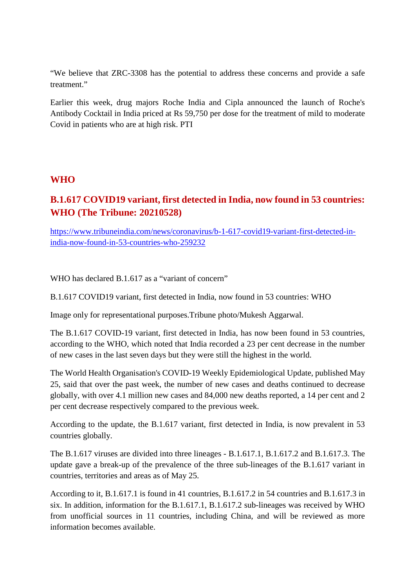"We believe that ZRC-3308 has the potential to address these concerns and provide a safe treatment<sup>"</sup>

Earlier this week, drug majors Roche India and Cipla announced the launch of Roche's Antibody Cocktail in India priced at Rs 59,750 per dose for the treatment of mild to moderate Covid in patients who are at high risk. PTI

#### **WHO**

#### **B.1.617 COVID19 variant, first detected in India, now found in 53 countries: WHO (The Tribune: 20210528)**

https://www.tribuneindia.com/news/coronavirus/b-1-617-covid19-variant-first-detected-inindia-now-found-in-53-countries-who-259232

WHO has declared B.1.617 as a "variant of concern"

B.1.617 COVID19 variant, first detected in India, now found in 53 countries: WHO

Image only for representational purposes.Tribune photo/Mukesh Aggarwal.

The B.1.617 COVID-19 variant, first detected in India, has now been found in 53 countries, according to the WHO, which noted that India recorded a 23 per cent decrease in the number of new cases in the last seven days but they were still the highest in the world.

The World Health Organisation's COVID-19 Weekly Epidemiological Update, published May 25, said that over the past week, the number of new cases and deaths continued to decrease globally, with over 4.1 million new cases and 84,000 new deaths reported, a 14 per cent and 2 per cent decrease respectively compared to the previous week.

According to the update, the B.1.617 variant, first detected in India, is now prevalent in 53 countries globally.

The B.1.617 viruses are divided into three lineages - B.1.617.1, B.1.617.2 and B.1.617.3. The update gave a break-up of the prevalence of the three sub-lineages of the B.1.617 variant in countries, territories and areas as of May 25.

According to it, B.1.617.1 is found in 41 countries, B.1.617.2 in 54 countries and B.1.617.3 in six. In addition, information for the B.1.617.1, B.1.617.2 sub-lineages was received by WHO from unofficial sources in 11 countries, including China, and will be reviewed as more information becomes available.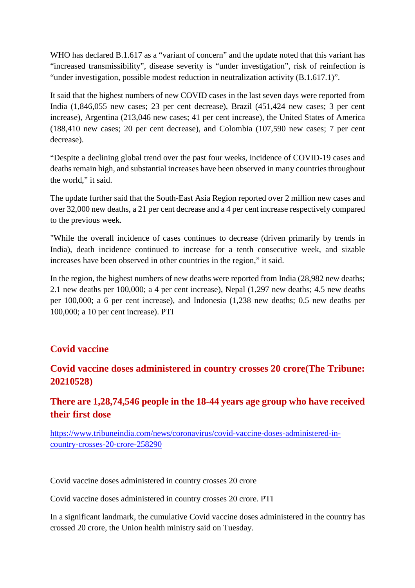WHO has declared B.1.617 as a "variant of concern" and the update noted that this variant has "increased transmissibility", disease severity is "under investigation", risk of reinfection is "under investigation, possible modest reduction in neutralization activity (B.1.617.1)".

It said that the highest numbers of new COVID cases in the last seven days were reported from India (1,846,055 new cases; 23 per cent decrease), Brazil (451,424 new cases; 3 per cent increase), Argentina (213,046 new cases; 41 per cent increase), the United States of America (188,410 new cases; 20 per cent decrease), and Colombia (107,590 new cases; 7 per cent decrease).

"Despite a declining global trend over the past four weeks, incidence of COVID-19 cases and deaths remain high, and substantial increases have been observed in many countries throughout the world," it said.

The update further said that the South-East Asia Region reported over 2 million new cases and over 32,000 new deaths, a 21 per cent decrease and a 4 per cent increase respectively compared to the previous week.

"While the overall incidence of cases continues to decrease (driven primarily by trends in India), death incidence continued to increase for a tenth consecutive week, and sizable increases have been observed in other countries in the region," it said.

In the region, the highest numbers of new deaths were reported from India (28,982 new deaths; 2.1 new deaths per 100,000; a 4 per cent increase), Nepal (1,297 new deaths; 4.5 new deaths per 100,000; a 6 per cent increase), and Indonesia (1,238 new deaths; 0.5 new deaths per 100,000; a 10 per cent increase). PTI

#### **Covid vaccine**

#### **Covid vaccine doses administered in country crosses 20 crore(The Tribune: 20210528)**

#### **There are 1,28,74,546 people in the 18-44 years age group who have received their first dose**

https://www.tribuneindia.com/news/coronavirus/covid-vaccine-doses-administered-incountry-crosses-20-crore-258290

Covid vaccine doses administered in country crosses 20 crore

Covid vaccine doses administered in country crosses 20 crore. PTI

In a significant landmark, the cumulative Covid vaccine doses administered in the country has crossed 20 crore, the Union health ministry said on Tuesday.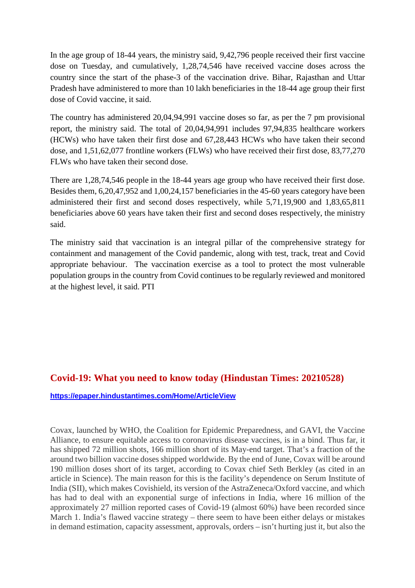In the age group of 18-44 years, the ministry said, 9,42,796 people received their first vaccine dose on Tuesday, and cumulatively, 1,28,74,546 have received vaccine doses across the country since the start of the phase-3 of the vaccination drive. Bihar, Rajasthan and Uttar Pradesh have administered to more than 10 lakh beneficiaries in the 18-44 age group their first dose of Covid vaccine, it said.

The country has administered 20,04,94,991 vaccine doses so far, as per the 7 pm provisional report, the ministry said. The total of 20,04,94,991 includes 97,94,835 healthcare workers (HCWs) who have taken their first dose and 67,28,443 HCWs who have taken their second dose, and 1,51,62,077 frontline workers (FLWs) who have received their first dose, 83,77,270 FLWs who have taken their second dose.

There are 1,28,74,546 people in the 18-44 years age group who have received their first dose. Besides them, 6,20,47,952 and 1,00,24,157 beneficiaries in the 45-60 years category have been administered their first and second doses respectively, while 5,71,19,900 and 1,83,65,811 beneficiaries above 60 years have taken their first and second doses respectively, the ministry said.

The ministry said that vaccination is an integral pillar of the comprehensive strategy for containment and management of the Covid pandemic, along with test, track, treat and Covid appropriate behaviour. The vaccination exercise as a tool to protect the most vulnerable population groups in the country from Covid continues to be regularly reviewed and monitored at the highest level, it said. PTI

#### **Covid-19: What you need to know today (Hindustan Times: 20210528)**

**https://epaper.hindustantimes.com/Home/ArticleView**

Covax, launched by WHO, the Coalition for Epidemic Preparedness, and GAVI, the Vaccine Alliance, to ensure equitable access to coronavirus disease vaccines, is in a bind. Thus far, it has shipped 72 million shots, 166 million short of its May-end target. That's a fraction of the around two billion vaccine doses shipped worldwide. By the end of June, Covax will be around 190 million doses short of its target, according to Covax chief Seth Berkley (as cited in an article in Science). The main reason for this is the facility's dependence on Serum Institute of India (SII), which makes Covishield, its version of the AstraZeneca/Oxford vaccine, and which has had to deal with an exponential surge of infections in India, where 16 million of the approximately 27 million reported cases of Covid-19 (almost 60%) have been recorded since March 1. India's flawed vaccine strategy – there seem to have been either delays or mistakes in demand estimation, capacity assessment, approvals, orders – isn't hurting just it, but also the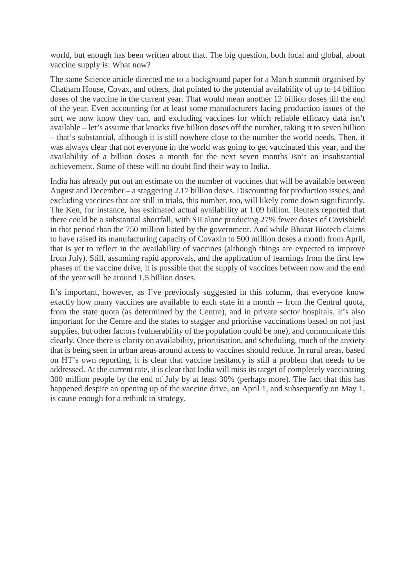world, but enough has been written about that. The big question, both local and global, about vaccine supply is: What now?

The same Science article directed me to a background paper for a March summit organised by Chatham House, Covax, and others, that pointed to the potential availability of up to 14 billion doses of the vaccine in the current year. That would mean another 12 billion doses till the end of the year. Even accounting for at least some manufacturers facing production issues of the sort we now know they can, and excluding vaccines for which reliable efficacy data isn't available – let's assume that knocks five billion doses off the number, taking it to seven billion – that's substantial, although it is still nowhere close to the number the world needs. Then, it was always clear that not everyone in the world was going to get vaccinated this year, and the availability of a billion doses a month for the next seven months isn't an insubstantial achievement. Some of these will no doubt find their way to India.

India has already put out an estimate on the number of vaccines that will be available between August and December – a staggering 2.17 billion doses. Discounting for production issues, and excluding vaccines that are still in trials, this number, too, will likely come down significantly. The Ken, for instance, has estimated actual availability at 1.09 billion. Reuters reported that there could be a substantial shortfall, with SII alone producing 27% fewer doses of Covishield in that period than the 750 million listed by the government. And while Bharat Biotech claims to have raised its manufacturing capacity of Covaxin to 500 million doses a month from April, that is yet to reflect in the availability of vaccines (although things are expected to improve from July). Still, assuming rapid approvals, and the application of learnings from the first few phases of the vaccine drive, it is possible that the supply of vaccines between now and the end of the year will be around 1.5 billion doses.

It's important, however, as I've previously suggested in this column, that everyone know exactly how many vaccines are available to each state in a month -- from the Central quota, from the state quota (as determined by the Centre), and in private sector hospitals. It's also important for the Centre and the states to stagger and prioritise vaccinations based on not just supplies, but other factors (vulnerability of the population could be one), and communicate this clearly. Once there is clarity on availability, prioritisation, and scheduling, much of the anxiety that is being seen in urban areas around access to vaccines should reduce. In rural areas, based on HT's own reporting, it is clear that vaccine hesitancy is still a problem that needs to be addressed. At the current rate, it is clear that India will miss its target of completely vaccinating 300 million people by the end of July by at least 30% (perhaps more). The fact that this has happened despite an opening up of the vaccine drive, on April 1, and subsequently on May 1, is cause enough for a rethink in strategy.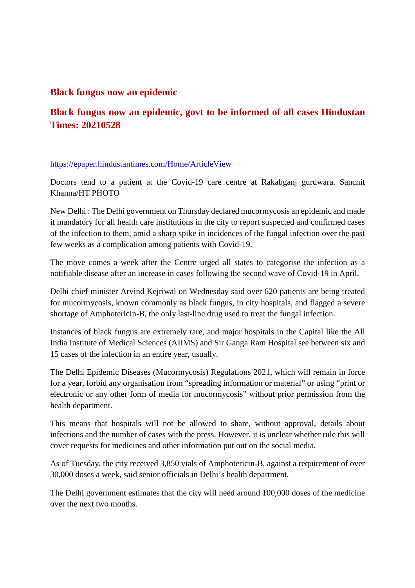#### **Black fungus now an epidemic**

#### **Black fungus now an epidemic, govt to be informed of all cases Hindustan Times: 20210528**

#### https://epaper.hindustantimes.com/Home/ArticleView

Doctors tend to a patient at the Covid-19 care centre at Rakabganj gurdwara. Sanchit Khanna/HT PHOTO

New Delhi : The Delhi government on Thursday declared mucormycosis an epidemic and made it mandatory for all health care institutions in the city to report suspected and confirmed cases of the infection to them, amid a sharp spike in incidences of the fungal infection over the past few weeks as a complication among patients with Covid-19.

The move comes a week after the Centre urged all states to categorise the infection as a notifiable disease after an increase in cases following the second wave of Covid-19 in April.

Delhi chief minister Arvind Kejriwal on Wednesday said over 620 patients are being treated for mucormycosis, known commonly as black fungus, in city hospitals, and flagged a severe shortage of Amphotericin-B, the only last-line drug used to treat the fungal infection.

Instances of black fungus are extremely rare, and major hospitals in the Capital like the All India Institute of Medical Sciences (AIIMS) and Sir Ganga Ram Hospital see between six and 15 cases of the infection in an entire year, usually.

The Delhi Epidemic Diseases (Mucormycosis) Regulations 2021, which will remain in force for a year, forbid any organisation from "spreading information or material" or using "print or electronic or any other form of media for mucormycosis" without prior permission from the health department.

This means that hospitals will not be allowed to share, without approval, details about infections and the number of cases with the press. However, it is unclear whether rule this will cover requests for medicines and other information put out on the social media.

As of Tuesday, the city received 3,850 vials of Amphotericin-B, against a requirement of over 30,000 doses a week, said senior officials in Delhi's health department.

The Delhi government estimates that the city will need around 100,000 doses of the medicine over the next two months.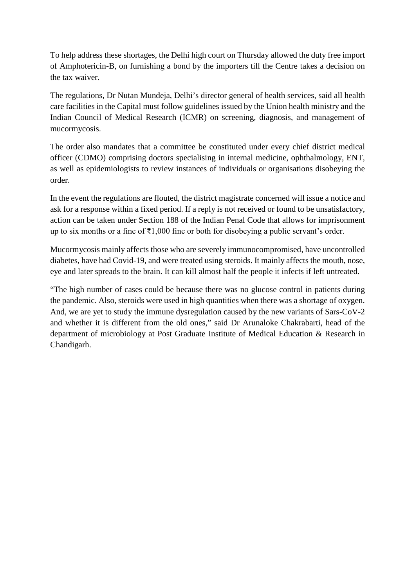To help address these shortages, the Delhi high court on Thursday allowed the duty free import of Amphotericin-B, on furnishing a bond by the importers till the Centre takes a decision on the tax waiver.

The regulations, Dr Nutan Mundeja, Delhi's director general of health services, said all health care facilities in the Capital must follow guidelines issued by the Union health ministry and the Indian Council of Medical Research (ICMR) on screening, diagnosis, and management of mucormycosis.

The order also mandates that a committee be constituted under every chief district medical officer (CDMO) comprising doctors specialising in internal medicine, ophthalmology, ENT, as well as epidemiologists to review instances of individuals or organisations disobeying the order.

In the event the regulations are flouted, the district magistrate concerned will issue a notice and ask for a response within a fixed period. If a reply is not received or found to be unsatisfactory, action can be taken under Section 188 of the Indian Penal Code that allows for imprisonment up to six months or a fine of ₹1,000 fine or both for disobeying a public servant's order.

Mucormycosis mainly affects those who are severely immunocompromised, have uncontrolled diabetes, have had Covid-19, and were treated using steroids. It mainly affects the mouth, nose, eye and later spreads to the brain. It can kill almost half the people it infects if left untreated.

"The high number of cases could be because there was no glucose control in patients during the pandemic. Also, steroids were used in high quantities when there was a shortage of oxygen. And, we are yet to study the immune dysregulation caused by the new variants of Sars-CoV-2 and whether it is different from the old ones," said Dr Arunaloke Chakrabarti, head of the department of microbiology at Post Graduate Institute of Medical Education & Research in Chandigarh.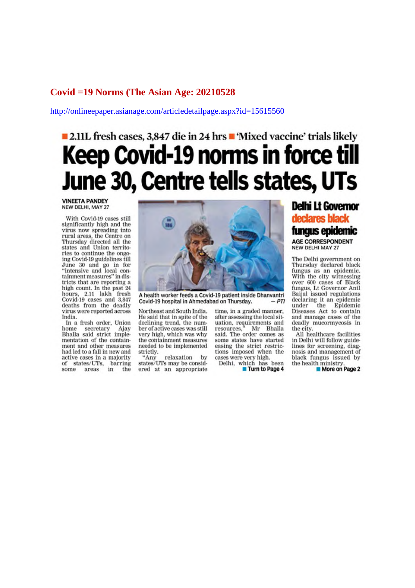#### Covid = 19 Norms (The Asian Age: 20210528)

http://onlineepaper.asianage.com/articledetailpage.aspx?id=15615560

# ■ 2.11L fresh cases, 3.847 die in 24 hrs ■ 'Mixed vaccine' trials likely **Keep Covid-19 norms in force till** June 30, Centre tells states, UTs

**VINEETA PANDEY** NEW DELHI, MAY 27

With Covid-19 cases still significantly high and the virus now spreading into rural areas, the Centre on<br>Thursday directed all the states and Union territories to continue the ongoing Covid-19 guidelines till June 30 and go in for<br>"intensive and local containment measures" in districts that are reporting a high count. In the past 24 hours, 2.11 lakh fresh<br>Covid-19 cases and 3,847 deaths from the deadly virus were reported across India.

In a fresh order, Union home secretary Ajay<br>Bhalla said strict imple-<br>mentation of the containment and other measures had led to a fall in new and active cases in a majority<br>of states/UTs, barring<br>some areas in the



A health worker feeds a Covid-19 patient inside Dhanvantri Covid-19 hospital in Ahmedabad on Thursday.  $-PTI$ 

Northeast and South India. He said that in spite of the declining trend, the number of active cases was still very high, which was why the containment measures needed to be implemented strictly.

relavation  $H^*$ Anv by states/UTs may be considered at an appropriate

time, in a graded manner, after assessing the local situation, requirements and<br>resources," Mr Bhalla said. The order comes as some states have started easing the strict restrictions imposed when the cases were very high.<br>Delhi, which has been

Turn to Page 4

#### **Delhi Lt Governor** declares black

fungus epidemic AGE CORRESPONDENT **NEW DELHI MAY 27** 

The Delhi government on Thursday declared black fungus as an epidemic. With the city witnessing over 600 cases of Black fungus, Lt Governor Anil Baijal issued regulations declaring it an epidemic under the Epidemic<br>Diseases Act to contain and manage cases of the deadly mucormycosis in the city.

All healthcare facilities in Delhi will follow guidelines for screening, diagnosis and management of black fungus issued by the health ministry.

More on Page 2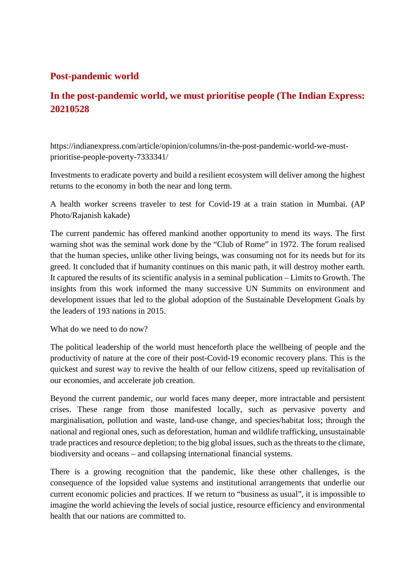#### **Post-pandemic world**

#### **In the post-pandemic world, we must prioritise people (The Indian Express: 20210528**

https://indianexpress.com/article/opinion/columns/in-the-post-pandemic-world-we-mustprioritise-people-poverty-7333341/

Investments to eradicate poverty and build a resilient ecosystem will deliver among the highest returns to the economy in both the near and long term.

A health worker screens traveler to test for Covid-19 at a train station in Mumbai. (AP Photo/Rajanish kakade)

The current pandemic has offered mankind another opportunity to mend its ways. The first warning shot was the seminal work done by the "Club of Rome" in 1972. The forum realised that the human species, unlike other living beings, was consuming not for its needs but for its greed. It concluded that if humanity continues on this manic path, it will destroy mother earth. It captured the results of its scientific analysis in a seminal publication – Limits to Growth. The insights from this work informed the many successive UN Summits on environment and development issues that led to the global adoption of the Sustainable Development Goals by the leaders of 193 nations in 2015.

What do we need to do now?

The political leadership of the world must henceforth place the wellbeing of people and the productivity of nature at the core of their post-Covid-19 economic recovery plans. This is the quickest and surest way to revive the health of our fellow citizens, speed up revitalisation of our economies, and accelerate job creation.

Beyond the current pandemic, our world faces many deeper, more intractable and persistent crises. These range from those manifested locally, such as pervasive poverty and marginalisation, pollution and waste, land-use change, and species/habitat loss; through the national and regional ones, such as deforestation, human and wildlife trafficking, unsustainable trade practices and resource depletion; to the big global issues, such as the threats to the climate, biodiversity and oceans – and collapsing international financial systems.

There is a growing recognition that the pandemic, like these other challenges, is the consequence of the lopsided value systems and institutional arrangements that underlie our current economic policies and practices. If we return to "business as usual", it is impossible to imagine the world achieving the levels of social justice, resource efficiency and environmental health that our nations are committed to.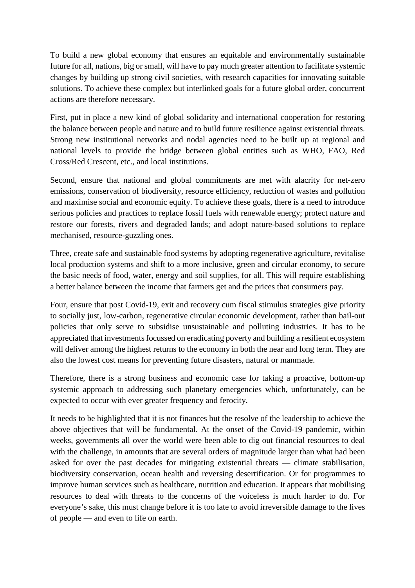To build a new global economy that ensures an equitable and environmentally sustainable future for all, nations, big or small, will have to pay much greater attention to facilitate systemic changes by building up strong civil societies, with research capacities for innovating suitable solutions. To achieve these complex but interlinked goals for a future global order, concurrent actions are therefore necessary.

First, put in place a new kind of global solidarity and international cooperation for restoring the balance between people and nature and to build future resilience against existential threats. Strong new institutional networks and nodal agencies need to be built up at regional and national levels to provide the bridge between global entities such as WHO, FAO, Red Cross/Red Crescent, etc., and local institutions.

Second, ensure that national and global commitments are met with alacrity for net-zero emissions, conservation of biodiversity, resource efficiency, reduction of wastes and pollution and maximise social and economic equity. To achieve these goals, there is a need to introduce serious policies and practices to replace fossil fuels with renewable energy; protect nature and restore our forests, rivers and degraded lands; and adopt nature-based solutions to replace mechanised, resource-guzzling ones.

Three, create safe and sustainable food systems by adopting regenerative agriculture, revitalise local production systems and shift to a more inclusive, green and circular economy, to secure the basic needs of food, water, energy and soil supplies, for all. This will require establishing a better balance between the income that farmers get and the prices that consumers pay.

Four, ensure that post Covid-19, exit and recovery cum fiscal stimulus strategies give priority to socially just, low-carbon, regenerative circular economic development, rather than bail-out policies that only serve to subsidise unsustainable and polluting industries. It has to be appreciated that investments focussed on eradicating poverty and building a resilient ecosystem will deliver among the highest returns to the economy in both the near and long term. They are also the lowest cost means for preventing future disasters, natural or manmade.

Therefore, there is a strong business and economic case for taking a proactive, bottom-up systemic approach to addressing such planetary emergencies which, unfortunately, can be expected to occur with ever greater frequency and ferocity.

It needs to be highlighted that it is not finances but the resolve of the leadership to achieve the above objectives that will be fundamental. At the onset of the Covid-19 pandemic, within weeks, governments all over the world were been able to dig out financial resources to deal with the challenge, in amounts that are several orders of magnitude larger than what had been asked for over the past decades for mitigating existential threats — climate stabilisation, biodiversity conservation, ocean health and reversing desertification. Or for programmes to improve human services such as healthcare, nutrition and education. It appears that mobilising resources to deal with threats to the concerns of the voiceless is much harder to do. For everyone's sake, this must change before it is too late to avoid irreversible damage to the lives of people — and even to life on earth.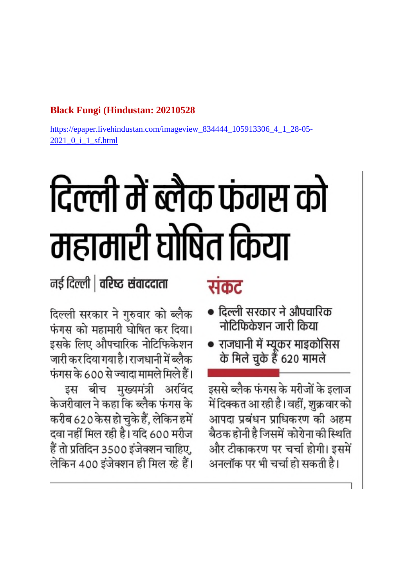#### **Black Fungi (Hindustan: 20210528)**

https://epaper.livehindustan.com/imageview 834444 105913306 4 1 28-05-2021 0 i 1 sf.html

# टिल्ली में ब्लैक फंगस को महामारी घोषित किया

### नई दिल्ली | वरिष्ठ संवाददाता

## संकट

- दिल्ली सरकार ने औपचारिक नोटिफिकेशन जारी किया
- राजधानी में म्यूकर माइकोसिस के मिले चुके हैं 620 मामले

इससे ब्लैक फंगस के मरीजों के इलाज में दिक्कत आ रही है। वहीं, शुक्र वार को आपदा प्रबंधन प्राधिकरण की अहम बैठक होनी है जिसमें कोरोना की स्थिति और टीकाकरण पर चर्चा होगी। इसमें अनलॉक पर भी चर्चा हो सकती है।

दिल्ली सरकार ने गुरुवार को ब्लैक फंगस को महामारी घोषित कर दिया। इसके लिए औपचारिक नोटिफिकेशन जारी कर दिया गया है। राजधानी में ब्लैक फंगस के 600 से ज्यादा मामले मिले हैं। इस बीच मुख्यमंत्री अरविंद केजरीवाल ने कहा कि ब्लैक फंगस के करीब 620 केस हो चुके हैं, लेकिन हमें दवा नहीं मिल रही है। यदि 600 मरीज हैं तो प्रतिदिन 3500 इंजेक्शन चाहिए, लेकिन 400 इंजेक्शन ही मिल रहे हैं।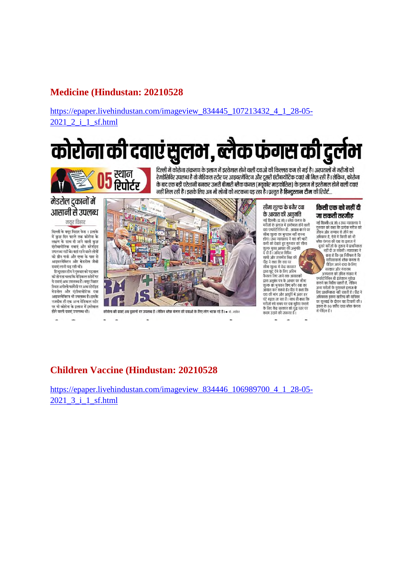#### **Medicine (Hindustan: 20210528)**

#### https://epaper.livehindustan.com/imageview\_834445\_107213432\_4\_1\_28-05-2021 2 i 1 sf.html

# कोरोना की दवाएं सुलम , ब्लैक फंगस की दुर्लम



दिल्ली में कोरोना संक्रमण के इलाज में इस्तेमाल होने वाली दवाओं की किल्लत कम हो गई है। अस्पतालों में मरीजों को रेमडेसिविर उपलब्ध है तो मेडिकल स्टोर पर आइवरमेक्टिन और दूसरी एंटीबायोटिक दवाएं भी मिल रही हैं। लेकिन, कोरोना के बाद एक बड़ी परेशानी बनकर उभरी बीमारी ब्लैक फंगस (म्यूकोर माइकोसिस) के इलाज में इस्तेमाल होने वाली दवाएं नहीं मिल रही हैं। इसके लिए अब भी लोगों को भटकना पड़ रहा है। प्रस्तुत है हिन्दुस्तान टीम की रिपोर्ट...

#### मेडरोल दुकानों में आसानी से उपलब्ध

मयर विहार

दिल्ली के मयूर विहार फेस 1 इलाके .<br>में कुछ दिन पहले तक कोरोना के<br>लक्षण के साथ दी जाने वाली कुछ .<br>एंटीबायोटिक दवाएं और स्टेरॉइड<br>उपलब्ध नहीं थे। यहां रहने वाले लोगों जनसम्बद्धाः चार्यस्य के पास से<br>को ग्रीन पार्क और एम्स के पास से<br>आइवरमेक्टिन और मेडरोल जैसी दवाएं लानी पड़ रही थीं।

दवाए लाना पड़ रहा था।<br>हिन्दुस्तान टीम ने गुरुवार को पड़ताल<br>की तो पता चला कि मेडिकल स्टोरों पर ये दवाएं अब उपलब्ध हैं। मयुर विहार स्थित अपोलो फार्मेसी पर अब स्टेरॉइड मेहरोल और एंटीबायोटिक दवा - नडरारी जार - २००१ नाटनः पना<br>आइवरमेक्टिन भी उपलब्ध है। इसके नजदीक ही एक अन्य मेडिकल स्टोर पर भी कोरोना के इलाज में इस्तेमाल होने वाली दवाएं उपलब्ध थीं।



कोरोना की दवाएं अब दुकानों पर उपलब्ध हैं । लेकिन ब्लैक फंगस की दवाओं के लिए लोग भटक रहे हैं । • मो. जाकिर

#### सीमा शुल्क के बगैर दवा के आयात की अनुमति

नई दिल्ली (प्र.सं)। ब्लैक फंगस के न्द्र मिलता (ब्रा.स.)। बाक कनारा के<br>मरीजों के इलाज में इस्तेमाल होने वाली<br>दवा एम्फोटेरिसिन बी. आयात करने पर दया एन्फाटारासन बा. आयात फरना<br>होगा ।उत्व न्यायालय ने दवा की भारी<br>होगा ।उत्व न्यायालय ने दवा की भारी<br>कुमी को देखते हुए गुरुवार को सीमा<br>शुख्य मुक्त आयात की अनुमति<br>सांघी और जसमीत सिंह की

साथा आप गंगसात सह क्या<br>पीठ ने कहा कि दवा पर<br>सीमा शुल्क में केंद्र सरकार<br>द्वारा छूट देने के लिए अंतिम<br>कसला लिए जाने तक आयातको<br>द्वारा अनुबंध पत्र के आयार पर सीमा शत्क का भगतान किए बगैर दवा का जुल्क का जुनाता हिंद बना बना का<br>आयात कर सकते हैं। पीठ ने कहा कि<br>दवा की मांग और आपूर्ति में अंतर हर् घंटे बढ़ता जा रहा है। साथ ही कहा कि ना कहना है। साथ में साथ से कहना कर<br>मरीजों को समय पर दवा मुहैया कराने<br>के लिए केंद्र सरकार को युद्ध स्तर पर कदम उटाने की जरूरत है।

#### किसी एक को नहीं दी जा सकती तरजीह

जापन जार सम्मान से जाने का<br>अधिकार है, ऐसे में किसी को भी<br>ब्लैक फंगस की दवा या इलाज में

दूसरे मरीजों के तुलना में प्राथमिकता<br>- नहीं दी ज सकती | न्यायालय ने<br>- कहा है कि यह निश्चित है कि राधिकाकर्ता हरेक फंगम से पावकावना बनके कमस्त<br>पीड़ित अपने दादा के लिए<br>सरकार और गंगाराम अस्पताल को उचित संख्या में एम्फोटेरिसिन बी इंजेक्शन मुहैया<br>कराने का निर्देश चाहती है, लेकिन -<br>अन्य मरीजों के मुकाबले इलाज के<br>लिए प्राथमिकता नहीं चाहती है । पीठ ने अधिवक्ता डकरा खालिद की याचिका जनसंख्या है के दौरान यह टिप्पणी की।<br>इकरा के 80 वर्षीय दादा ब्लैक फंगस से पीड़ित हैं।

#### **Children Vaccine (Hindustan: 20210528)**

https://epaper.livehindustan.com/imageview 834446 106989700 4 1 28-05-2021 3 i 1 sf.html